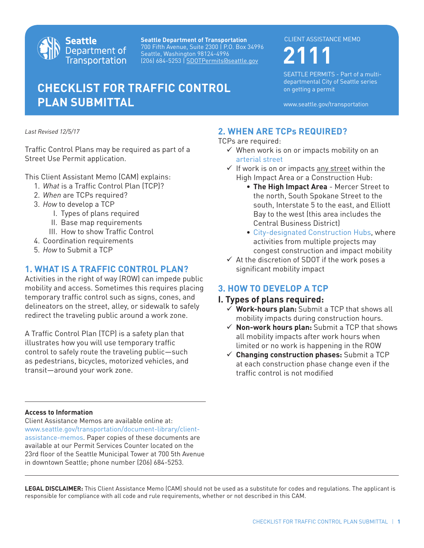

**Seattle Department of Transportation** 700 Fifth Avenue, Suite 2300 | P.O. Box 34996 Seattle, Washington 98124-4996 (206) 684-5253 | SDOTPermits@seattle.gov **2111**

# **CHECKLIST FOR TRAFFIC CONTROL PLAN SUBMITTAL**

#### CLIENT ASSISTANCE MEMO

SEATTLE PERMITS - Part of a multidepartmental City of Seattle series on getting a permit

www.seattle.gov/transportation

*Last Revised 12/5/17*

Traffic Control Plans may be required as part of a Street Use Permit application.

This Client Assistant Memo (CAM) explains:

- 1. *What* is a Traffic Control Plan (TCP)?
- 2. *When* are TCPs required?
- 3. *How* to develop a TCP
	- I. Types of plans required
	- II. Base map requirements
	- III. How to show Traffic Control
- 4. Coordination requirements
- 5. *How* to Submit a TCP

### **1. WHAT IS A TRAFFIC CONTROL PLAN?**

Activities in the right of way (ROW) can impede public mobility and access. Sometimes this requires placing temporary traffic control such as signs, cones, and delineators on the street, alley, or sidewalk to safely redirect the traveling public around a work zone.

A Traffic Control Plan (TCP) is a safety plan that illustrates how you will use temporary traffic control to safely route the traveling public—such as pedestrians, bicycles, motorized vehicles, and transit—around your work zone.

# **2. WHEN ARE TCPs REQUIRED?**

TCPs are required:

- $\checkmark$  When work is on or impacts mobility on an [arterial street](http://seattlecitygis.maps.arcgis.com/apps/webappviewer/index.html?id=a808f790a24e474d86ecde00dae81cee)
- $\checkmark$  If work is on or impacts any street within the High Impact Area or a Construction Hub:
	- **The High Impact Area** Mercer Street to the north, South Spokane Street to the south, Interstate 5 to the east, and Elliott Bay to the west (this area includes the Central Business District)
	- [City-designated Construction Hubs,](www.seattle.gov/transportation/projects-and-programs/programs/project-and-construction-coordination-office/construction-hub-coordination) where activities from multiple projects may congest construction and impact mobility
- $\checkmark$  At the discretion of SDOT if the work poses a significant mobility impact

# **3. HOW TO DEVELOP A TCP**

#### **I. Types of plans required:**

- **Work-hours plan:** Submit a TCP that shows all mobility impacts during construction hours.
- **Non-work hours plan:** Submit a TCP that shows all mobility impacts after work hours when limited or no work is happening in the ROW
- **Changing construction phases:** Submit a TCP at each construction phase change even if the traffic control is not modified

#### **Access to Information**

Client Assistance Memos are available online at: www.seattle.gov/transportation/document-library/clientassistance-memos. Paper copies of these documents are available at our Permit Services Counter located on the 23rd floor of the Seattle Municipal Tower at 700 5th Avenue in downtown Seattle; phone number (206) 684-5253.

**LEGAL DISCLAIMER:** This Client Assistance Memo (CAM) should not be used as a substitute for codes and regulations. The applicant is responsible for compliance with all code and rule requirements, whether or not described in this CAM.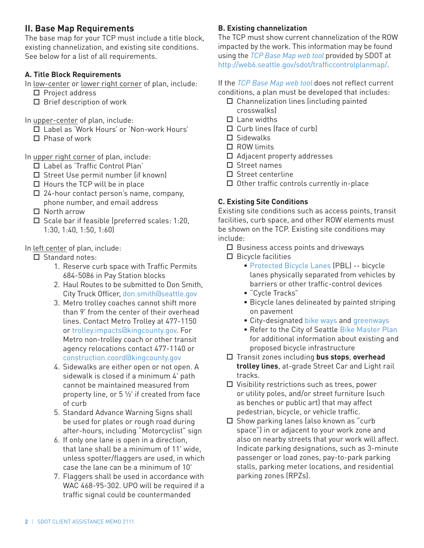# **II. Base Map Requirements**

The base map for your TCP must include a title block, existing channelization, and existing site conditions. See below for a list of all requirements.

# **A. Title Block Requirements**

In low-center or lower right corner of plan, include:

- $\square$  Project address
- $\square$  Brief description of work

In upper-center of plan, include:

- Label as 'Work Hours' or 'Non-work Hours'
- $\Pi$  Phase of work

In upper right corner of plan, include:

- □ Label as 'Traffic Control Plan'
- $\square$  Street Use permit number (if known)
- $\Box$  Hours the TCP will be in place
- 24-hour contact person's name, company, phone number, and email address
- □ North arrow
- $\Box$  Scale bar if feasible (preferred scales: 1:20, 1:30, 1:40, 1:50, 1:60)

In left center of plan, include:

- $\Box$  Standard notes:
	- 1. Reserve curb space with Traffic Permits 684-5086 in Pay Station blocks
	- 2. Haul Routes to be submitted to Don Smith, City Truck Officer, [don.smith@seattle.gov](mailto:don.smith@seattle.gov)
	- 3. Metro trolley coaches cannot shift more than 9' from the center of their overhead lines. Contact Metro Trolley at 477-1150 o[r trolley.impacts@kingcounty.gov.](mailto:trolley.impacts@kingcounty.gov) For Metro non-trolley coach or other transit agency relocations contact 477-1140 or [construction.coord@kingcounty.gov](mailto:construction.coord@kingcounty.gov)
	- 4. Sidewalks are either open or not open. A sidewalk is closed if a minimum 4' path cannot be maintained measured from property line, or 5 ½' if created from face of curb
	- 5. Standard Advance Warning Signs shall be used for plates or rough road during after-hours, including "Motorcyclist" sign
	- 6. If only one lane is open in a direction, that lane shall be a minimum of 11' wide, unless spotter/flaggers are used, in which case the lane can be a minimum of 10'
	- 7. Flaggers shall be used in accordance with WAC 468-95-302. UPO will be required if a traffic signal could be countermanded

# **B. Existing channelization**

The TCP must show current channelization of the ROW impacted by the work. This information may be found using the *[TCP Base Map web tool](http://web6.seattle.gov/sdot/trafficcontrolplanmap/)* provided by SDOT at http://web6.seattle.gov/sdot/trafficcontrolplanmap/.

If the *[TCP Base Map web tool](http://web6.seattle.gov/sdot/trafficcontrolplanmap/)* does not reflect current conditions, a plan must be developed that includes:

- $\square$  Channelization lines (including painted crosswalks)
- $\Box$  Lane widths
- $\Box$  Curb lines (face of curb)
- Sidewalks
- □ ROW limits
- □ Adjacent property addresses
- □ Street names
- $\square$  Street centerline
- $\Box$  Other traffic controls currently in-place

# **C. Existing Site Conditions**

Existing site conditions such as access points, transit facilities, curb space, and other ROW elements must be shown on the TCP. Existing site conditions may include:

- $\square$  Business access points and driveways
- $\Box$  Bicycle facilities
	- [Protected Bicycle Lanes](www.seattle.gov/transportation/projects-and-programs/programs/bike-program/protected-bike-lanes) (PBL) -- bicycle lanes physically separated from vehicles by barriers or other traffic-control devices
	- "Cycle Tracks"
	- Bicycle lanes delineated by painted striping on pavement
	- City-designated [bike ways](www.seattle.gov/transportation/projects-and-programs/programs/bike-program/online-bike-map) and [greenways](www.seattle.gov/transportation/projects-and-programs/programs/greenways-program)
	- Refer to the City of Seattle [Bike Master Plan](www.seattle.gov/transportation/document-library/modal-plans/bicycle-master-plan) for additional information about existing and proposed bicycle infrastructure
- Transit zones including **bus stops**, **overhead trolley lines**, at-grade Street Car and Light rail tracks.
- $\square$  Visibility restrictions such as trees, power or utility poles, and/or street furniture (such as benches or public art) that may affect pedestrian, bicycle, or vehicle traffic.
- $\Box$  Show parking lanes (also known as "curb" space") in or adjacent to your work zone and also on nearby streets that your work will affect. Indicate parking designations, such as 3-minute passenger or load zones, pay-to-park parking stalls, parking meter locations, and residential parking zones (RPZs).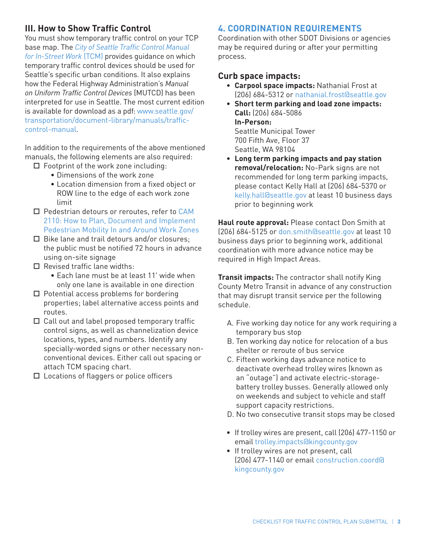# **III. How to Show Traffic Control**

You must show temporary traffic control on your TCP base map. The *[City of Seattle Traffic Control Manual](www.seattle.gov/transportation/document-library/manuals/traffic-control-manual) for In-Street Work* (TCM) provides guidance on which temporary traffic control devices should be used for Seattle's specific urban conditions. It also explains how the Federal Highway Administration's *Manual on Uniform Traffic Control Devices* (MUTCD) has been interpreted for use in Seattle. The most current edition [is available for download as a pdf: www.seattle.gov/](www.seattle.gov/transportation/document-library/manuals/traffic-control-manual) transportation/document-library/manuals/trafficcontrol-manual.

In addition to the requirements of the above mentioned manuals, the following elements are also required:

- $\Box$  Footprint of the work zone including:
	- Dimensions of the work zone
	- Location dimension from a fixed object or ROW line to the edge of each work zone limit
- $\square$  Pedestrian detours or reroutes, refer to CAM 2110: How to Plan, Document and Implement [Pedestrian Mobility In and Around Work Zones](www.seattle.gov/Documents/Departments/SDOT/CAMs/cam2110.pdf)
- $\Box$  Bike lane and trail detours and/or closures; the public must be notified 72 hours in advance using on-site signage
- $\Box$  Revised traffic lane widths:
	- Each lane must be at least 11' wide when only one lane is available in one direction
- $\Box$  Potential access problems for bordering properties; label alternative access points and routes.
- □ Call out and label proposed temporary traffic control signs, as well as channelization device locations, types, and numbers. Identify any specially-worded signs or other necessary nonconventional devices. Either call out spacing or attach TCM spacing chart.
- □ Locations of flaggers or police officers

#### **4. COORDINATION REQUIREMENTS**

Coordination with other SDOT Divisions or agencies may be required during or after your permitting process.

#### **Curb space impacts:**

Seattle, WA 98104

- **Carpool space impacts:** Nathanial Frost at (206) 684-5312 or [nathanial.frost@seattle.gov](mailto:nathanial.frost@seattle.gov)
- **Short term parking and load zone impacts: Call:** (206) 684-5086 **In-Person:** Seattle Municipal Tower 700 Fifth Ave, Floor 37
- **Long term parking impacts and pay station removal/relocation:** No-Park signs are not recommended for long term parking impacts, please contact Kelly Hall at (206) 684-5370 or [kelly.hall@seattle.gov a](mailto:kelly.hall@seattle.gov)t least 10 business days prior to beginning work

**Haul route approval:** Please contact Don Smith at (206) 684-5125 or [don.smith@seattle.gov](mailto:bob.burns@seattle.gov) at least 10 business days prior to beginning work, additional coordination with more advance notice may be required in High Impact Areas.

**Transit impacts:** The contractor shall notify King County Metro Transit in advance of any construction that may disrupt transit service per the following schedule.

- A. Five working day notice for any work requiring a temporary bus stop
- B. Ten working day notice for relocation of a bus shelter or reroute of bus service
- C. Fifteen working days advance notice to deactivate overhead trolley wires (known as an "outage") and activate electric-storagebattery trolley busses. Generally allowed only on weekends and subject to vehicle and staff support capacity restrictions.
- D. No two consecutive transit stops may be closed
- If trolley wires are present, call (206) 477-1150 or email [trolley.impacts@kingcounty.gov](mailto:trolley.impacts@kingcounty.gov)
- If trolley wires are not present, call [\(206\) 477-1140 or email construction.coord@](mailto:construction.coord@kingcounty.gov) kingcounty.gov